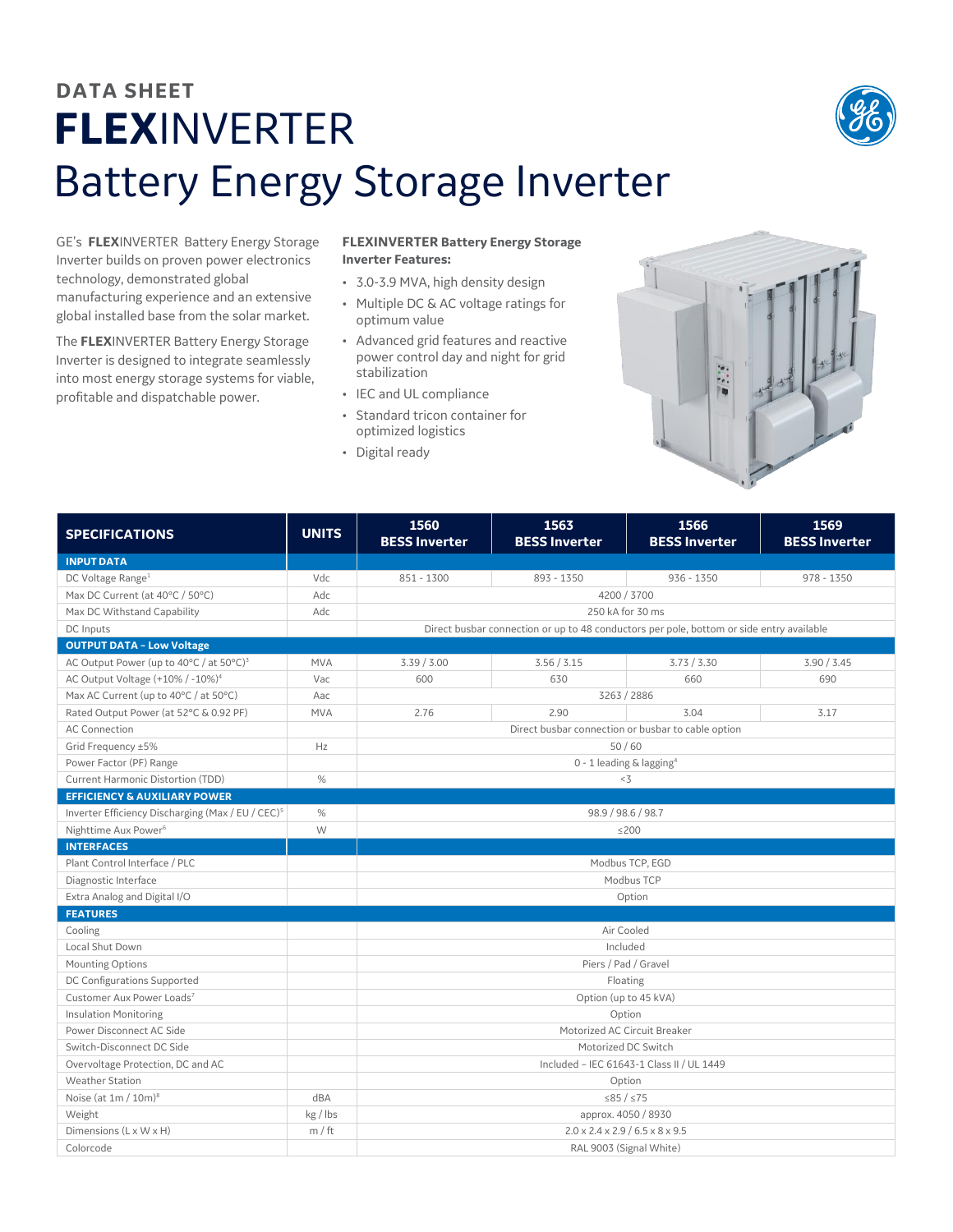## **DATA SHEET FLEX**INVERTER Battery Energy Storage Inverter



The **FLEX**INVERTER Battery Energy Storage Inverter is designed to integrate seamlessly into most energy storage systems for viable, profitable and dispatchable power.

## **FLEXINVERTER Battery Energy Storage Inverter Features:**

- 3.0-3.9 MVA, high density design
- Multiple DC & AC voltage ratings for optimum value
- Advanced grid features and reactive power control day and night for grid stabilization
- IEC and UL compliance
- Standard tricon container for optimized logistics
- Digital ready



| <b>SPECIFICATIONS</b>                                         | <b>UNITS</b> | 1560<br><b>BESS Inverter</b>                                                             | 1563<br><b>BESS Inverter</b> | 1566<br><b>BESS Inverter</b> | 1569<br><b>BESS Inverter</b> |  |  |
|---------------------------------------------------------------|--------------|------------------------------------------------------------------------------------------|------------------------------|------------------------------|------------------------------|--|--|
| <b>INPUT DATA</b>                                             |              |                                                                                          |                              |                              |                              |  |  |
| DC Voltage Range <sup>1</sup>                                 | Vdc          | 851 - 1300                                                                               | 893 - 1350                   | $936 - 1350$                 | $978 - 1350$                 |  |  |
| Max DC Current (at 40°C / 50°C)                               | Adc          | 4200 / 3700                                                                              |                              |                              |                              |  |  |
| Max DC Withstand Capability                                   | Adc          | 250 kA for 30 ms                                                                         |                              |                              |                              |  |  |
| DC Inputs                                                     |              | Direct busbar connection or up to 48 conductors per pole, bottom or side entry available |                              |                              |                              |  |  |
| <b>OUTPUT DATA - Low Voltage</b>                              |              |                                                                                          |                              |                              |                              |  |  |
| AC Output Power (up to 40°C / at 50°C) <sup>3</sup>           | <b>MVA</b>   | 3.39 / 3.00                                                                              | 3.56 / 3.15                  | 3.73 / 3.30                  | 3.90 / 3.45                  |  |  |
| AC Output Voltage (+10% / -10%) <sup>4</sup>                  | Vac          | 600                                                                                      | 630                          | 660                          | 690                          |  |  |
| Max AC Current (up to 40°C / at 50°C)                         | Aac          | 3263 / 2886                                                                              |                              |                              |                              |  |  |
| Rated Output Power (at 52°C & 0.92 PF)                        | <b>MVA</b>   | 2.76                                                                                     | 2.90                         | 3.04                         | 3.17                         |  |  |
| <b>AC Connection</b>                                          |              | Direct busbar connection or busbar to cable option                                       |                              |                              |                              |  |  |
| Grid Frequency ±5%                                            | Hz           | 50/60                                                                                    |                              |                              |                              |  |  |
| Power Factor (PF) Range                                       |              | 0 - 1 leading & lagging <sup>4</sup>                                                     |                              |                              |                              |  |  |
| Current Harmonic Distortion (TDD)                             | $\%$         | $<$ 3                                                                                    |                              |                              |                              |  |  |
| <b>EFFICIENCY &amp; AUXILIARY POWER</b>                       |              |                                                                                          |                              |                              |                              |  |  |
| Inverter Efficiency Discharging (Max / EU / CEC) <sup>5</sup> | $\%$         | 98.9 / 98.6 / 98.7                                                                       |                              |                              |                              |  |  |
| Nighttime Aux Power <sup>6</sup>                              | W            | ≤200                                                                                     |                              |                              |                              |  |  |
| <b>INTERFACES</b>                                             |              |                                                                                          |                              |                              |                              |  |  |
| Plant Control Interface / PLC                                 |              | Modbus TCP, EGD                                                                          |                              |                              |                              |  |  |
| Diagnostic Interface                                          |              | Modbus TCP                                                                               |                              |                              |                              |  |  |
| Extra Analog and Digital I/O                                  |              | Option                                                                                   |                              |                              |                              |  |  |
| <b>FEATURES</b>                                               |              |                                                                                          |                              |                              |                              |  |  |
| Cooling                                                       |              | Air Cooled                                                                               |                              |                              |                              |  |  |
| Local Shut Down                                               |              | Included                                                                                 |                              |                              |                              |  |  |
| Mounting Options                                              |              | Piers / Pad / Gravel                                                                     |                              |                              |                              |  |  |
| DC Configurations Supported                                   |              | Floating                                                                                 |                              |                              |                              |  |  |
| Customer Aux Power Loads7                                     |              | Option (up to 45 kVA)                                                                    |                              |                              |                              |  |  |
| <b>Insulation Monitoring</b>                                  |              | Option                                                                                   |                              |                              |                              |  |  |
| Power Disconnect AC Side                                      |              | Motorized AC Circuit Breaker                                                             |                              |                              |                              |  |  |
| Switch-Disconnect DC Side                                     |              | Motorized DC Switch                                                                      |                              |                              |                              |  |  |
| Overvoltage Protection, DC and AC                             |              | Included - IEC 61643-1 Class II / UL 1449                                                |                              |                              |                              |  |  |
| <b>Weather Station</b>                                        |              | Option                                                                                   |                              |                              |                              |  |  |
| Noise (at $1m / 10m$ ) <sup>8</sup>                           | dBA          | $\leq 85 / \leq 75$                                                                      |                              |                              |                              |  |  |
| Weight                                                        | kg / lbs     | approx. 4050 / 8930                                                                      |                              |                              |                              |  |  |
| Dimensions $(L \times W \times H)$                            | m / ft       | $2.0 \times 2.4 \times 2.9 / 6.5 \times 8 \times 9.5$                                    |                              |                              |                              |  |  |
| Colorcode                                                     |              | RAL 9003 (Signal White)                                                                  |                              |                              |                              |  |  |